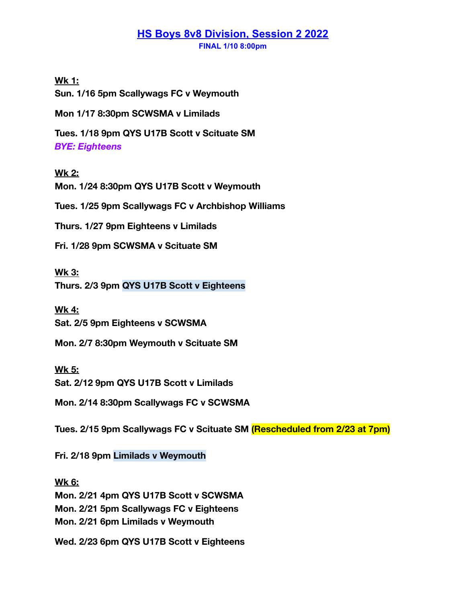## **HS Boys 8v8 Division, Session 2 2022 FINAL 1/10 8:00pm**

**Wk 1:**

**Sun. 1/16 5pm Scallywags FC v Weymouth**

**Mon 1/17 8:30pm SCWSMA v Limilads**

**Tues. 1/18 9pm QYS U17B Scott v Scituate SM** *BYE: Eighteens*

## **Wk 2:**

**Mon. 1/24 8:30pm QYS U17B Scott v Weymouth**

**Tues. 1/25 9pm Scallywags FC v Archbishop Williams**

**Thurs. 1/27 9pm Eighteens v Limilads**

**Fri. 1/28 9pm SCWSMA v Scituate SM**

**Wk 3:**

**Thurs. 2/3 9pm QYS U17B Scott v Eighteens**

**Wk 4: Sat. 2/5 9pm Eighteens v SCWSMA**

**Mon. 2/7 8:30pm Weymouth v Scituate SM**

**Wk 5: Sat. 2/12 9pm QYS U17B Scott v Limilads**

**Mon. 2/14 8:30pm Scallywags FC v SCWSMA**

**Tues. 2/15 9pm Scallywags FC v Scituate SM (Rescheduled from 2/23 at 7pm)**

**Fri. 2/18 9pm Limilads v Weymouth**

**Wk 6: Mon. 2/21 4pm QYS U17B Scott v SCWSMA Mon. 2/21 5pm Scallywags FC v Eighteens Mon. 2/21 6pm Limilads v Weymouth**

**Wed. 2/23 6pm QYS U17B Scott v Eighteens**